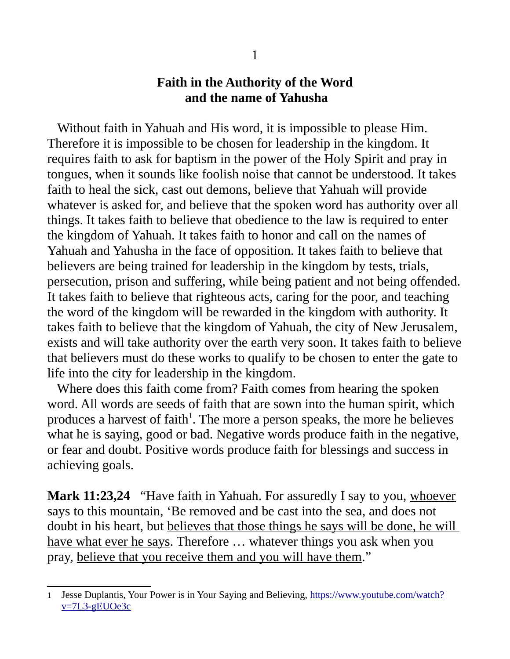## **Faith in the Authority of the Word and the name of Yahusha**

Without faith in Yahuah and His word, it is impossible to please Him. Therefore it is impossible to be chosen for leadership in the kingdom. It requires faith to ask for baptism in the power of the Holy Spirit and pray in tongues, when it sounds like foolish noise that cannot be understood. It takes faith to heal the sick, cast out demons, believe that Yahuah will provide whatever is asked for, and believe that the spoken word has authority over all things. It takes faith to believe that obedience to the law is required to enter the kingdom of Yahuah. It takes faith to honor and call on the names of Yahuah and Yahusha in the face of opposition. It takes faith to believe that believers are being trained for leadership in the kingdom by tests, trials, persecution, prison and suffering, while being patient and not being offended. It takes faith to believe that righteous acts, caring for the poor, and teaching the word of the kingdom will be rewarded in the kingdom with authority. It takes faith to believe that the kingdom of Yahuah, the city of New Jerusalem, exists and will take authority over the earth very soon. It takes faith to believe that believers must do these works to qualify to be chosen to enter the gate to life into the city for leadership in the kingdom.

 Where does this faith come from? Faith comes from hearing the spoken word. All words are seeds of faith that are sown into the human spirit, which produces a harvest of faith<sup>[1](#page-0-0)</sup>. The more a person speaks, the more he believes what he is saying, good or bad. Negative words produce faith in the negative, or fear and doubt. Positive words produce faith for blessings and success in achieving goals.

**Mark 11:23,24** "Have faith in Yahuah. For assuredly I say to you, whoever says to this mountain, 'Be removed and be cast into the sea, and does not doubt in his heart, but believes that those things he says will be done, he will have what ever he says. Therefore ... whatever things you ask when you pray, believe that you receive them and you will have them."

<span id="page-0-0"></span><sup>1</sup> Jesse Duplantis, Your Power is in Your Saying and Believing, [https://www.youtube.com/watch?](https://www.youtube.com/watch?v=7L3-gEUOe3c) [v=7L3-gEUOe3c](https://www.youtube.com/watch?v=7L3-gEUOe3c)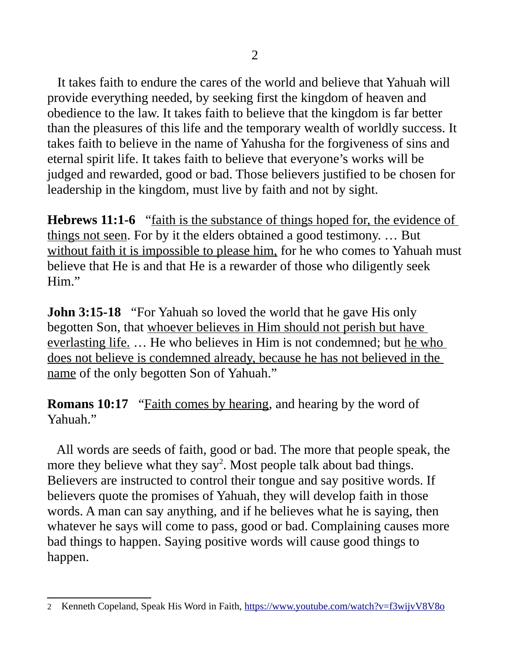It takes faith to endure the cares of the world and believe that Yahuah will provide everything needed, by seeking first the kingdom of heaven and obedience to the law. It takes faith to believe that the kingdom is far better than the pleasures of this life and the temporary wealth of worldly success. It takes faith to believe in the name of Yahusha for the forgiveness of sins and eternal spirit life. It takes faith to believe that everyone's works will be judged and rewarded, good or bad. Those believers justified to be chosen for leadership in the kingdom, must live by faith and not by sight.

**Hebrews 11:1-6** "faith is the substance of things hoped for, the evidence of things not seen. For by it the elders obtained a good testimony. … But without faith it is impossible to please him, for he who comes to Yahuah must believe that He is and that He is a rewarder of those who diligently seek Him."

**John 3:15-18** "For Yahuah so loved the world that he gave His only begotten Son, that whoever believes in Him should not perish but have everlasting life. … He who believes in Him is not condemned; but he who does not believe is condemned already, because he has not believed in the name of the only begotten Son of Yahuah."

**Romans 10:17** "Faith comes by hearing, and hearing by the word of Yahuah."

 All words are seeds of faith, good or bad. The more that people speak, the more they believe what they say<sup>[2](#page-1-0)</sup>. Most people talk about bad things. Believers are instructed to control their tongue and say positive words. If believers quote the promises of Yahuah, they will develop faith in those words. A man can say anything, and if he believes what he is saying, then whatever he says will come to pass, good or bad. Complaining causes more bad things to happen. Saying positive words will cause good things to happen.

<span id="page-1-0"></span><sup>2</sup> Kenneth Copeland, Speak His Word in Faith,<https://www.youtube.com/watch?v=f3wijvV8V8o>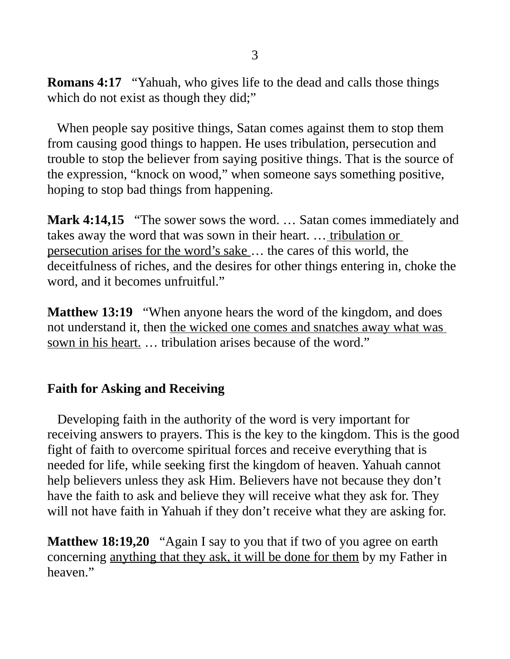**Romans 4:17** "Yahuah, who gives life to the dead and calls those things which do not exist as though they did;"

 When people say positive things, Satan comes against them to stop them from causing good things to happen. He uses tribulation, persecution and trouble to stop the believer from saying positive things. That is the source of the expression, "knock on wood," when someone says something positive, hoping to stop bad things from happening.

**Mark 4:14,15** "The sower sows the word. … Satan comes immediately and takes away the word that was sown in their heart. ... tribulation or persecution arises for the word's sake … the cares of this world, the deceitfulness of riches, and the desires for other things entering in, choke the word, and it becomes unfruitful."

**Matthew 13:19** "When anyone hears the word of the kingdom, and does not understand it, then the wicked one comes and snatches away what was sown in his heart. … tribulation arises because of the word."

## **Faith for Asking and Receiving**

 Developing faith in the authority of the word is very important for receiving answers to prayers. This is the key to the kingdom. This is the good fight of faith to overcome spiritual forces and receive everything that is needed for life, while seeking first the kingdom of heaven. Yahuah cannot help believers unless they ask Him. Believers have not because they don't have the faith to ask and believe they will receive what they ask for. They will not have faith in Yahuah if they don't receive what they are asking for.

**Matthew 18:19,20** "Again I say to you that if two of you agree on earth concerning anything that they ask, it will be done for them by my Father in heaven."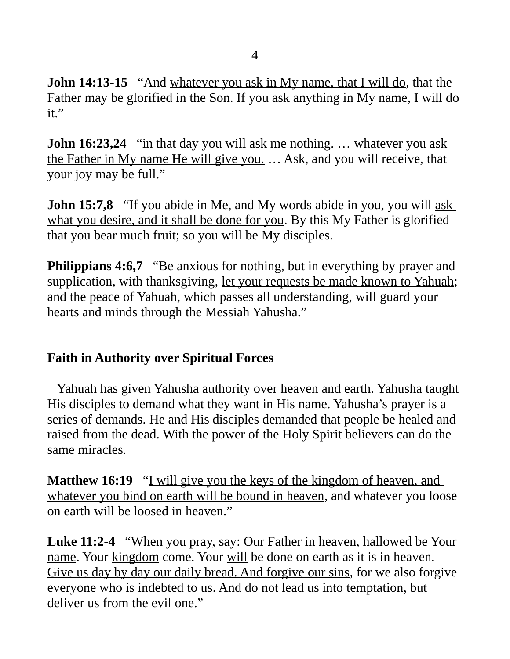**John 14:13-15** "And whatever you ask in My name, that I will do, that the Father may be glorified in the Son. If you ask anything in My name, I will do it."

**John 16:23,24** "in that day you will ask me nothing. ... whatever you ask the Father in My name He will give you. … Ask, and you will receive, that your joy may be full."

**John 15:7,8** "If you abide in Me, and My words abide in you, you will <u>ask</u> what you desire, and it shall be done for you. By this My Father is glorified that you bear much fruit; so you will be My disciples.

**Philippians 4:6,7** "Be anxious for nothing, but in everything by prayer and supplication, with thanksgiving, let your requests be made known to Yahuah; and the peace of Yahuah, which passes all understanding, will guard your hearts and minds through the Messiah Yahusha."

## **Faith in Authority over Spiritual Forces**

 Yahuah has given Yahusha authority over heaven and earth. Yahusha taught His disciples to demand what they want in His name. Yahusha's prayer is a series of demands. He and His disciples demanded that people be healed and raised from the dead. With the power of the Holy Spirit believers can do the same miracles.

**Matthew 16:19** "I will give you the keys of the kingdom of heaven, and whatever you bind on earth will be bound in heaven, and whatever you loose on earth will be loosed in heaven."

**Luke 11:2-4** "When you pray, say: Our Father in heaven, hallowed be Your name. Your kingdom come. Your will be done on earth as it is in heaven. Give us day by day our daily bread. And forgive our sins, for we also forgive everyone who is indebted to us. And do not lead us into temptation, but deliver us from the evil one."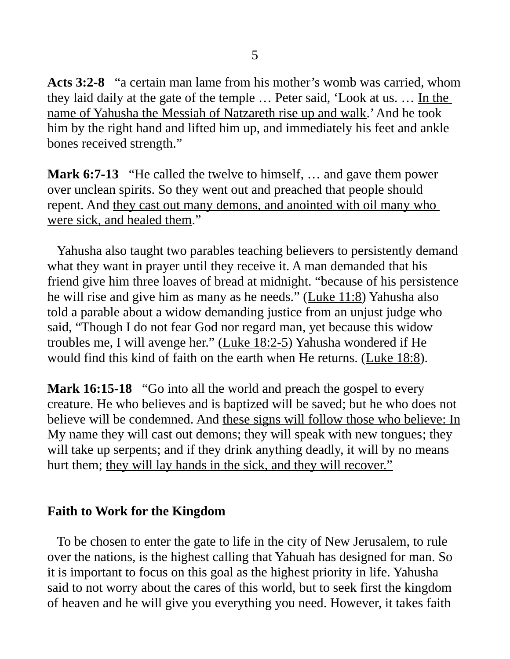**Acts 3:2-8** "a certain man lame from his mother's womb was carried, whom they laid daily at the gate of the temple … Peter said, 'Look at us. … In the name of Yahusha the Messiah of Natzareth rise up and walk.' And he took him by the right hand and lifted him up, and immediately his feet and ankle bones received strength."

**Mark 6:7-13** "He called the twelve to himself, … and gave them power over unclean spirits. So they went out and preached that people should repent. And they cast out many demons, and anointed with oil many who were sick, and healed them."

 Yahusha also taught two parables teaching believers to persistently demand what they want in prayer until they receive it. A man demanded that his friend give him three loaves of bread at midnight. "because of his persistence he will rise and give him as many as he needs." (Luke 11:8) Yahusha also told a parable about a widow demanding justice from an unjust judge who said, "Though I do not fear God nor regard man, yet because this widow troubles me, I will avenge her." (Luke 18:2-5) Yahusha wondered if He would find this kind of faith on the earth when He returns. (Luke 18:8).

**Mark 16:15-18** "Go into all the world and preach the gospel to every creature. He who believes and is baptized will be saved; but he who does not believe will be condemned. And these signs will follow those who believe: In My name they will cast out demons; they will speak with new tongues; they will take up serpents; and if they drink anything deadly, it will by no means hurt them; they will lay hands in the sick, and they will recover."

## **Faith to Work for the Kingdom**

 To be chosen to enter the gate to life in the city of New Jerusalem, to rule over the nations, is the highest calling that Yahuah has designed for man. So it is important to focus on this goal as the highest priority in life. Yahusha said to not worry about the cares of this world, but to seek first the kingdom of heaven and he will give you everything you need. However, it takes faith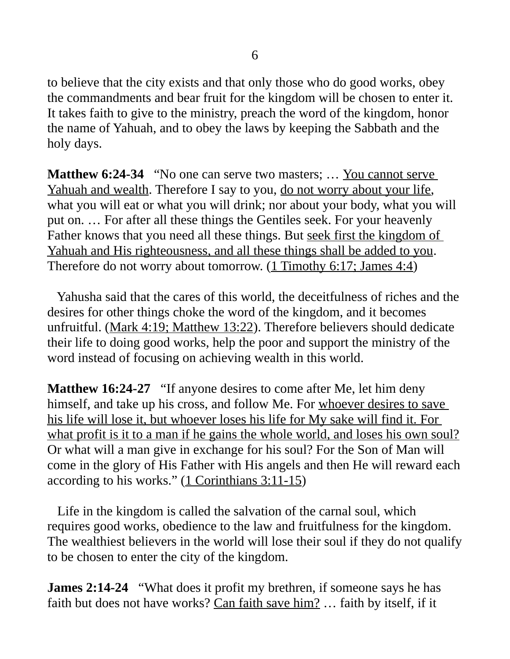to believe that the city exists and that only those who do good works, obey the commandments and bear fruit for the kingdom will be chosen to enter it. It takes faith to give to the ministry, preach the word of the kingdom, honor the name of Yahuah, and to obey the laws by keeping the Sabbath and the holy days.

**Matthew 6:24-34** "No one can serve two masters; ... You cannot serve Yahuah and wealth. Therefore I say to you, do not worry about your life, what you will eat or what you will drink; nor about your body, what you will put on. … For after all these things the Gentiles seek. For your heavenly Father knows that you need all these things. But seek first the kingdom of Yahuah and His righteousness, and all these things shall be added to you. Therefore do not worry about tomorrow. (1 Timothy 6:17; James 4:4)

 Yahusha said that the cares of this world, the deceitfulness of riches and the desires for other things choke the word of the kingdom, and it becomes unfruitful. (Mark 4:19; Matthew 13:22). Therefore believers should dedicate their life to doing good works, help the poor and support the ministry of the word instead of focusing on achieving wealth in this world.

**Matthew 16:24-27** "If anyone desires to come after Me, let him deny himself, and take up his cross, and follow Me. For whoever desires to save his life will lose it, but whoever loses his life for My sake will find it. For what profit is it to a man if he gains the whole world, and loses his own soul? Or what will a man give in exchange for his soul? For the Son of Man will come in the glory of His Father with His angels and then He will reward each according to his works." (1 Corinthians 3:11-15)

 Life in the kingdom is called the salvation of the carnal soul, which requires good works, obedience to the law and fruitfulness for the kingdom. The wealthiest believers in the world will lose their soul if they do not qualify to be chosen to enter the city of the kingdom.

**James 2:14-24** "What does it profit my brethren, if someone says he has faith but does not have works? Can faith save him? ... faith by itself, if it